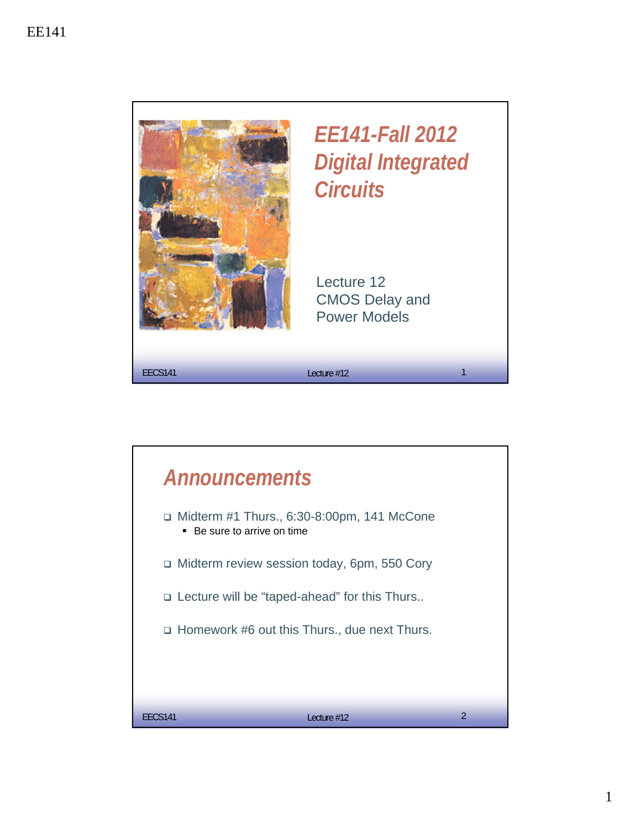

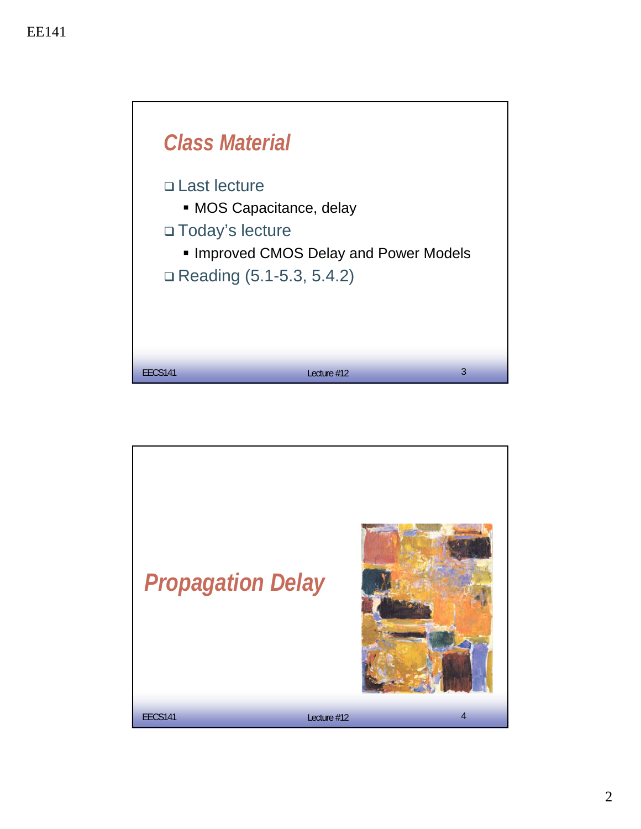

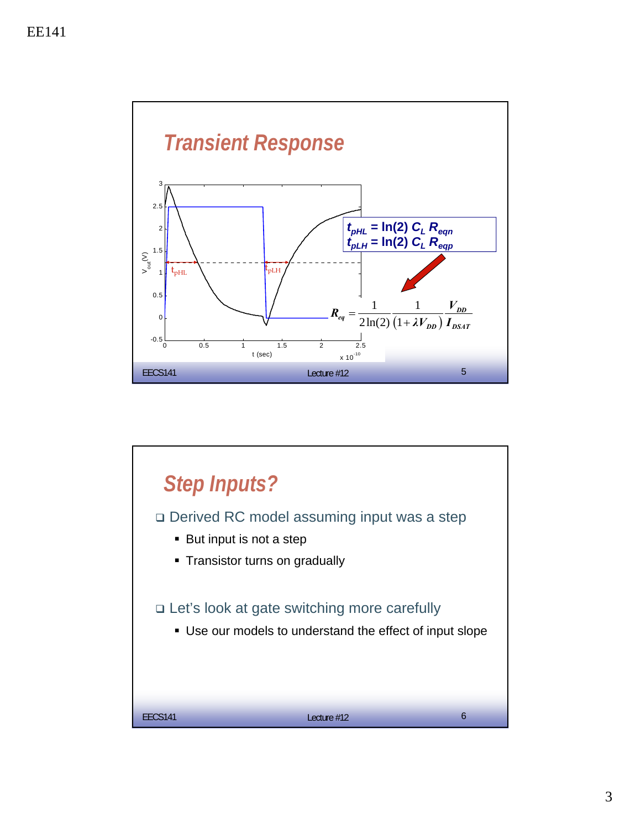

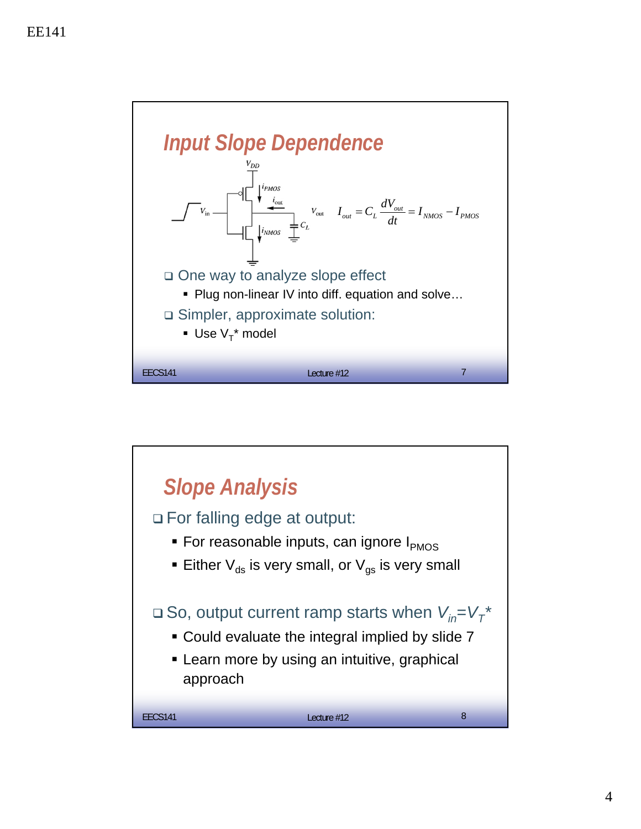

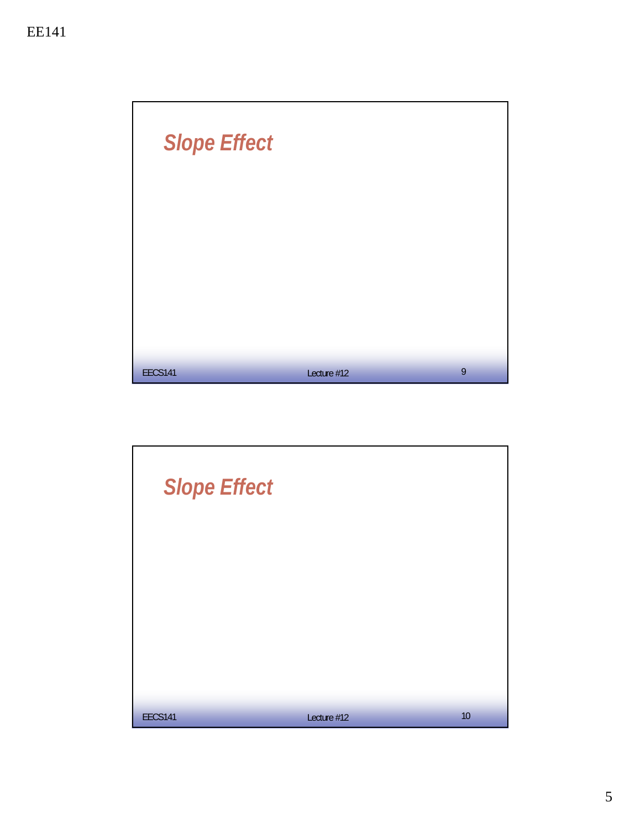

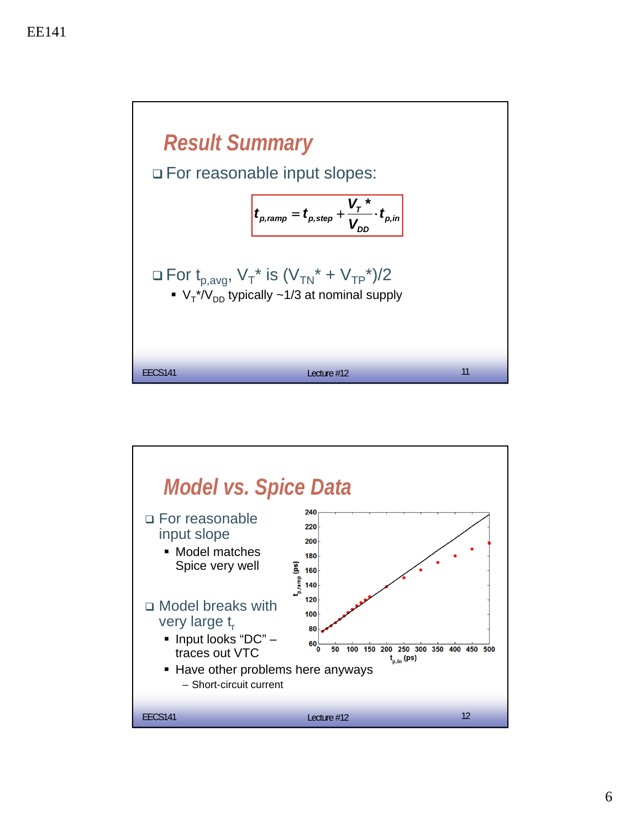

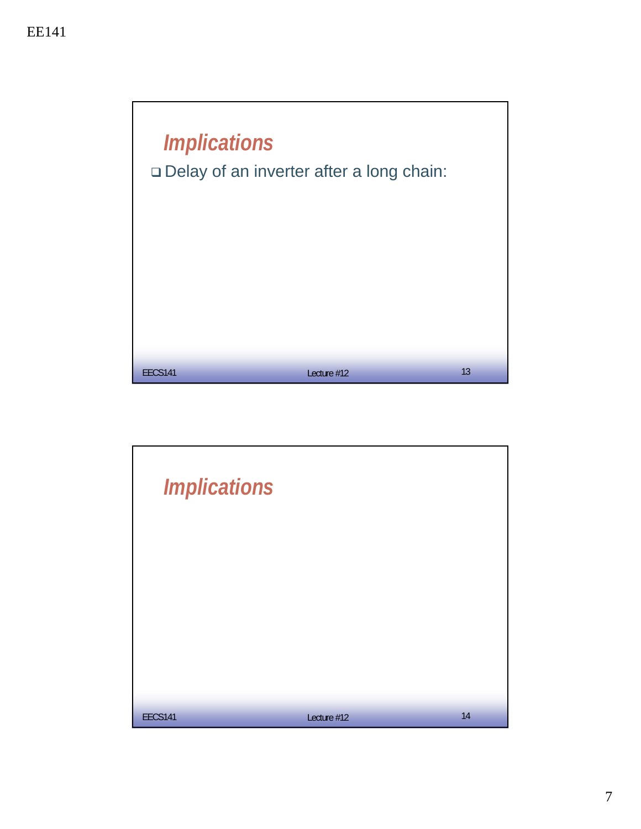

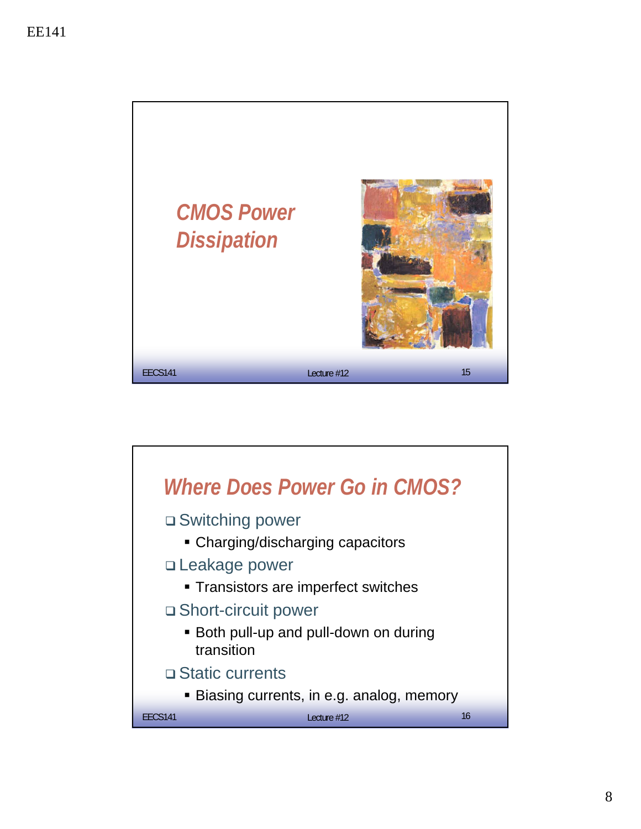

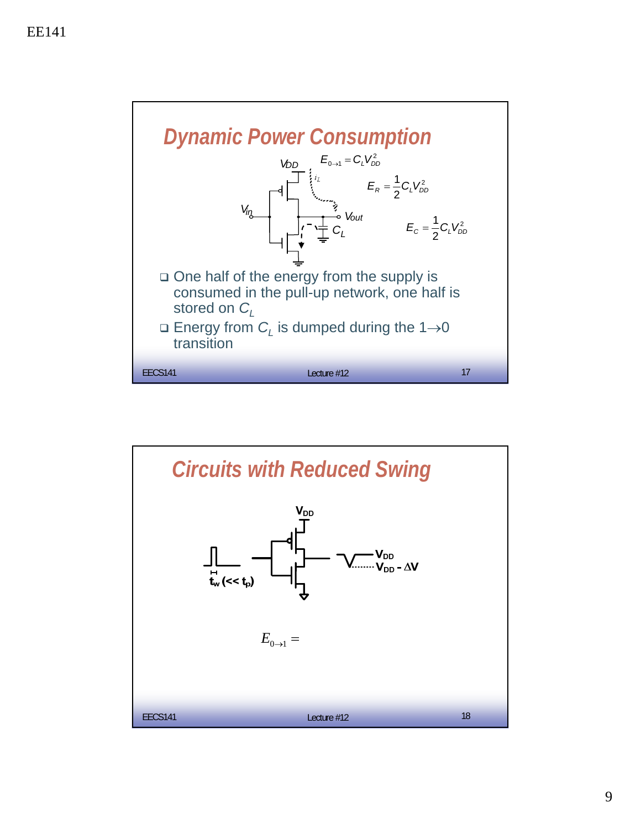

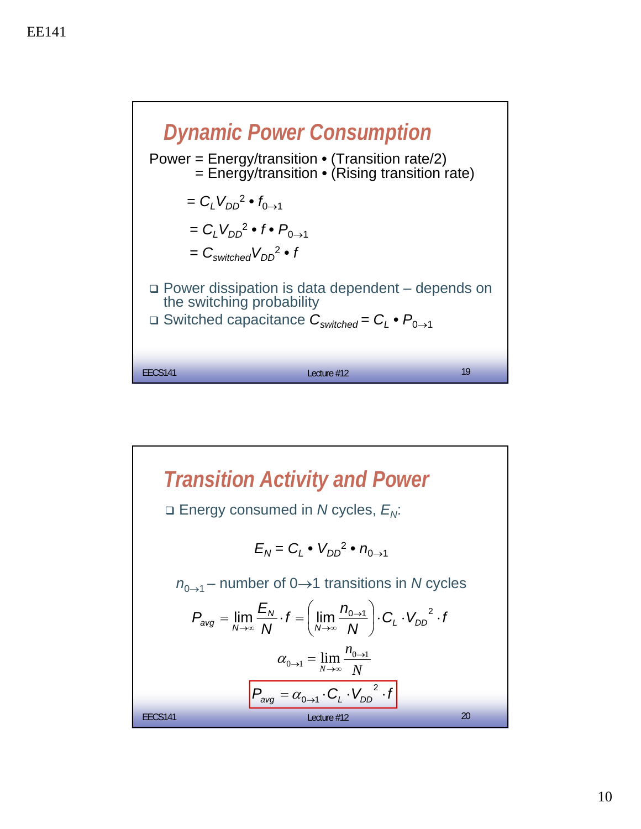

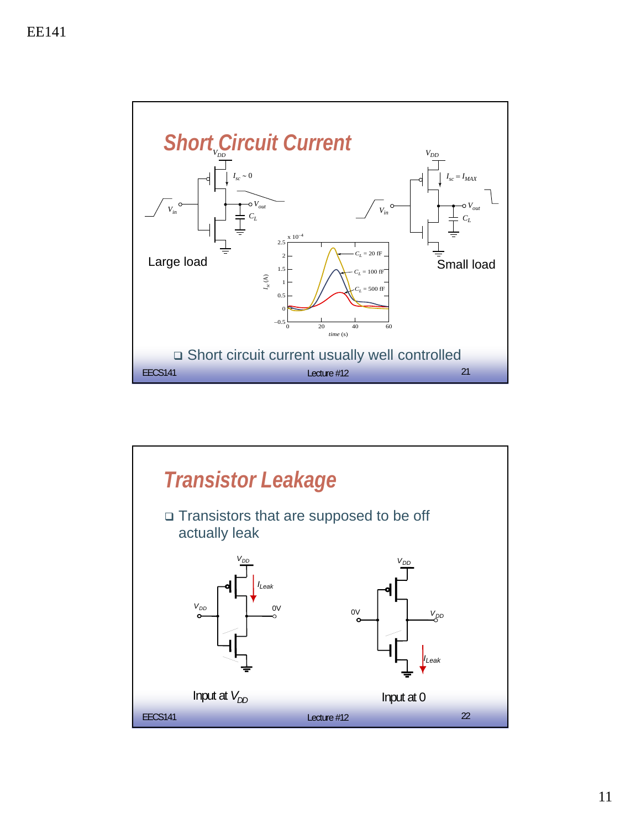

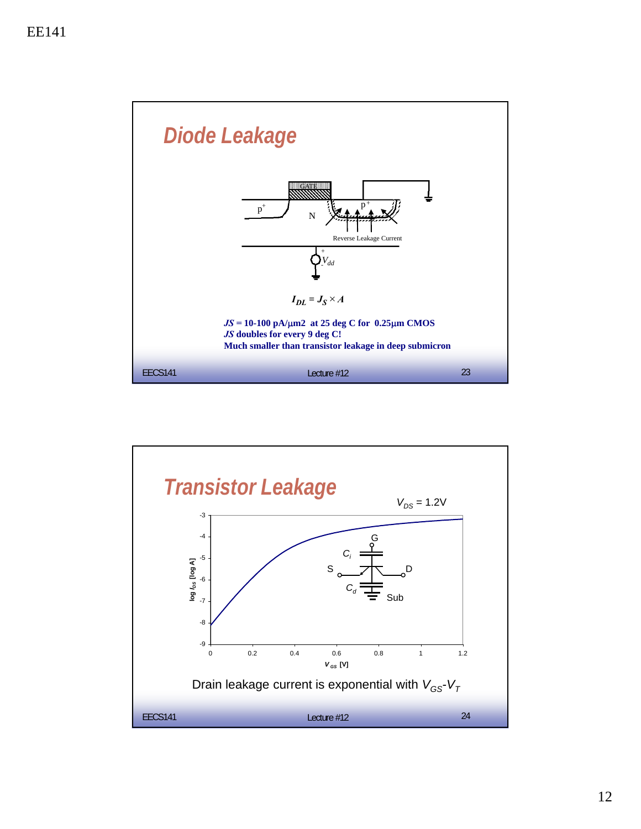

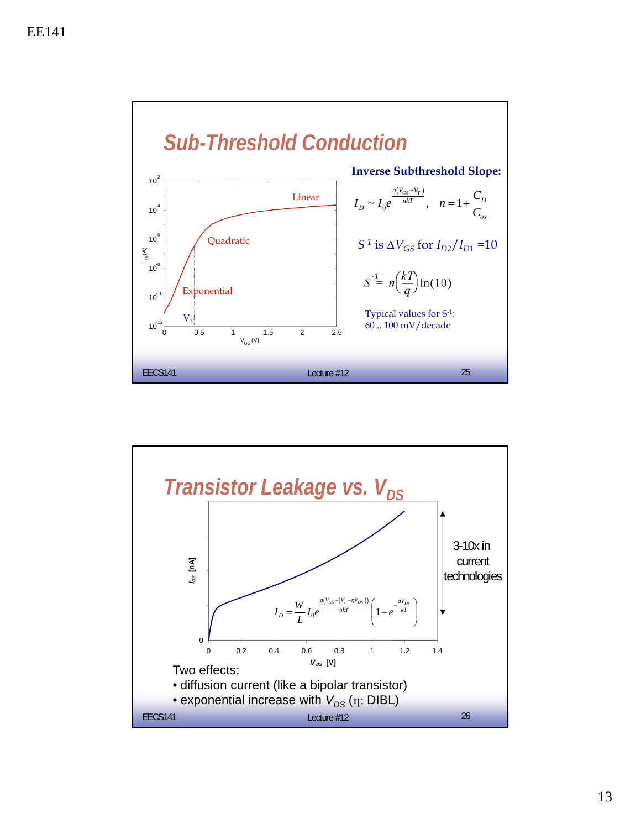

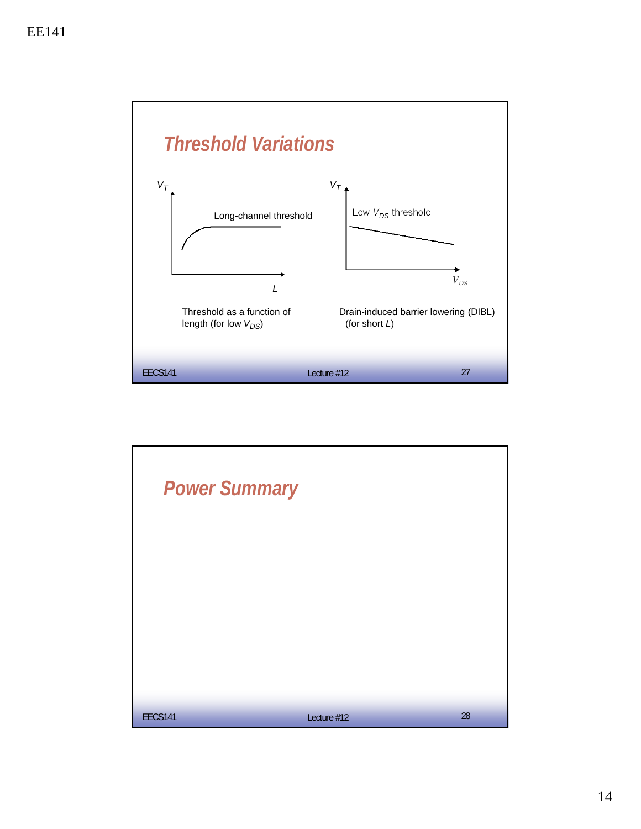